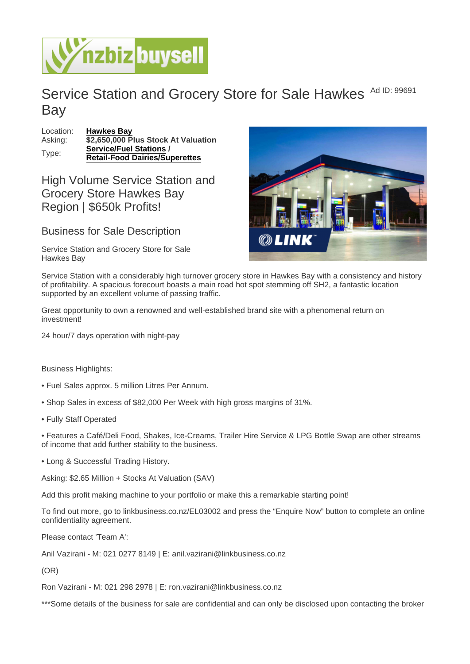## Service Station and Grocery Store for Sale Hawkes Ad ID: 99691 Bay

Location: [Hawkes Bay](https://www.nzbizbuysell.co.nz/businesses-for-sale/location/Hawkes-Bay) Asking:  $\sqrt{32,650,000}$  Plus Stock At Valuation Type: [Service/Fuel Stations](https://www.nzbizbuysell.co.nz/businesses-for-sale/Service-Stations/New-Zealand) / Retail-Food Dairies/Superettes

High Volume Service Station and Grocery Store Hawkes Bay Region | \$650k Profits!

## Business for Sale Description

Service Station and Grocery Store for Sale Hawkes Bay

Service Station with a considerably high turnover grocery store in Hawkes Bay with a consistency and history of profitability. A spacious forecourt boasts a main road hot spot stemming off SH2, a fantastic location supported by an excellent volume of passing traffic.

Great opportunity to own a renowned and well-established brand site with a phenomenal return on investment!

24 hour/7 days operation with night-pay

Business Highlights:

- Fuel Sales approx. 5 million Litres Per Annum.
- Shop Sales in excess of \$82,000 Per Week with high gross margins of 31%.
- Fully Staff Operated

• Features a Café/Deli Food, Shakes, Ice-Creams, Trailer Hire Service & LPG Bottle Swap are other streams of income that add further stability to the business.

• Long & Successful Trading History.

Asking: \$2.65 Million + Stocks At Valuation (SAV)

Add this profit making machine to your portfolio or make this a remarkable starting point!

To find out more, go to linkbusiness.co.nz/EL03002 and press the "Enquire Now" button to complete an online confidentiality agreement.

Please contact 'Team A':

Anil Vazirani - M: 021 0277 8149 | E: anil.vazirani@linkbusiness.co.nz

(OR)

Ron Vazirani - M: 021 298 2978 | E: ron.vazirani@linkbusiness.co.nz

\*\*\*Some details of the business for sale are confidential and can only be disclosed upon contacting the broker